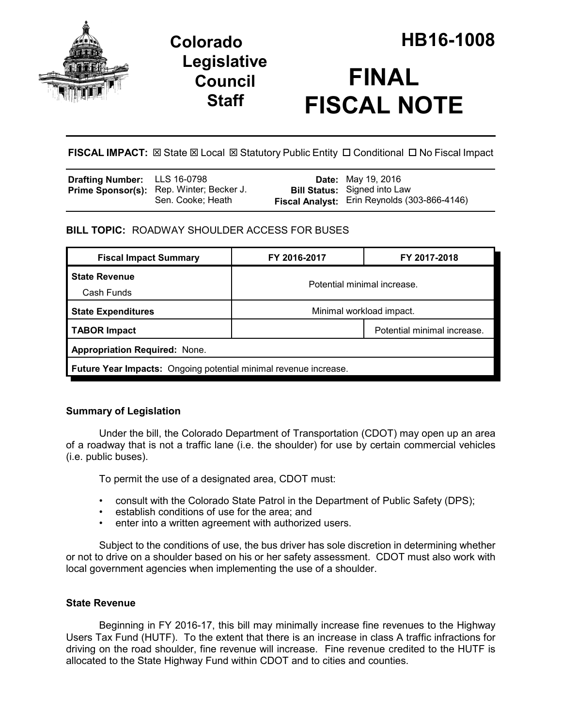

# **Legislative Council Staff**



**FISCAL IMPACT:** ⊠ State ⊠ Local ⊠ Statutory Public Entity □ Conditional □ No Fiscal Impact

| <b>Drafting Number:</b> LLS 16-0798 |                                          | <b>Date:</b> May 19, 2016                    |
|-------------------------------------|------------------------------------------|----------------------------------------------|
|                                     | Prime Sponsor(s): Rep. Winter; Becker J. | <b>Bill Status:</b> Signed into Law          |
|                                     | Sen. Cooke: Heath                        | Fiscal Analyst: Erin Reynolds (303-866-4146) |

# **BILL TOPIC:** ROADWAY SHOULDER ACCESS FOR BUSES

| <b>Fiscal Impact Summary</b>                                            | FY 2016-2017                | FY 2017-2018                |  |  |
|-------------------------------------------------------------------------|-----------------------------|-----------------------------|--|--|
| <b>State Revenue</b>                                                    | Potential minimal increase. |                             |  |  |
| Cash Funds                                                              |                             |                             |  |  |
| <b>State Expenditures</b>                                               | Minimal workload impact.    |                             |  |  |
| TABOR Impact                                                            |                             | Potential minimal increase. |  |  |
| <b>Appropriation Required: None.</b>                                    |                             |                             |  |  |
| <b>Future Year Impacts:</b> Ongoing potential minimal revenue increase. |                             |                             |  |  |

# **Summary of Legislation**

Under the bill, the Colorado Department of Transportation (CDOT) may open up an area of a roadway that is not a traffic lane (i.e. the shoulder) for use by certain commercial vehicles (i.e. public buses).

To permit the use of a designated area, CDOT must:

- consult with the Colorado State Patrol in the Department of Public Safety (DPS);
- establish conditions of use for the area; and
- enter into a written agreement with authorized users.

Subject to the conditions of use, the bus driver has sole discretion in determining whether or not to drive on a shoulder based on his or her safety assessment. CDOT must also work with local government agencies when implementing the use of a shoulder.

# **State Revenue**

Beginning in FY 2016-17, this bill may minimally increase fine revenues to the Highway Users Tax Fund (HUTF). To the extent that there is an increase in class A traffic infractions for driving on the road shoulder, fine revenue will increase. Fine revenue credited to the HUTF is allocated to the State Highway Fund within CDOT and to cities and counties.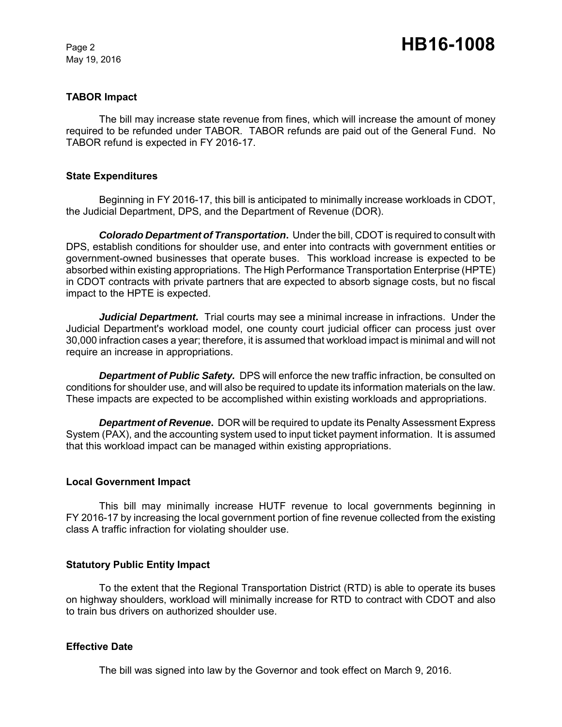May 19, 2016

## **TABOR Impact**

The bill may increase state revenue from fines, which will increase the amount of money required to be refunded under TABOR. TABOR refunds are paid out of the General Fund. No TABOR refund is expected in FY 2016-17.

#### **State Expenditures**

Beginning in FY 2016-17, this bill is anticipated to minimally increase workloads in CDOT, the Judicial Department, DPS, and the Department of Revenue (DOR).

*Colorado Department of Transportation***.** Under the bill, CDOT is required to consult with DPS, establish conditions for shoulder use, and enter into contracts with government entities or government-owned businesses that operate buses. This workload increase is expected to be absorbed within existing appropriations. The High Performance Transportation Enterprise (HPTE) in CDOT contracts with private partners that are expected to absorb signage costs, but no fiscal impact to the HPTE is expected.

*Judicial Department.* Trial courts may see a minimal increase in infractions. Under the Judicial Department's workload model, one county court judicial officer can process just over 30,000 infraction cases a year; therefore, it is assumed that workload impact is minimal and will not require an increase in appropriations.

*Department of Public Safety.* DPS will enforce the new traffic infraction, be consulted on conditions for shoulder use, and will also be required to update its information materials on the law. These impacts are expected to be accomplished within existing workloads and appropriations.

*Department of Revenue***.** DOR will be required to update its Penalty Assessment Express System (PAX), and the accounting system used to input ticket payment information. It is assumed that this workload impact can be managed within existing appropriations.

#### **Local Government Impact**

This bill may minimally increase HUTF revenue to local governments beginning in FY 2016-17 by increasing the local government portion of fine revenue collected from the existing class A traffic infraction for violating shoulder use.

#### **Statutory Public Entity Impact**

To the extent that the Regional Transportation District (RTD) is able to operate its buses on highway shoulders, workload will minimally increase for RTD to contract with CDOT and also to train bus drivers on authorized shoulder use.

#### **Effective Date**

The bill was signed into law by the Governor and took effect on March 9, 2016.